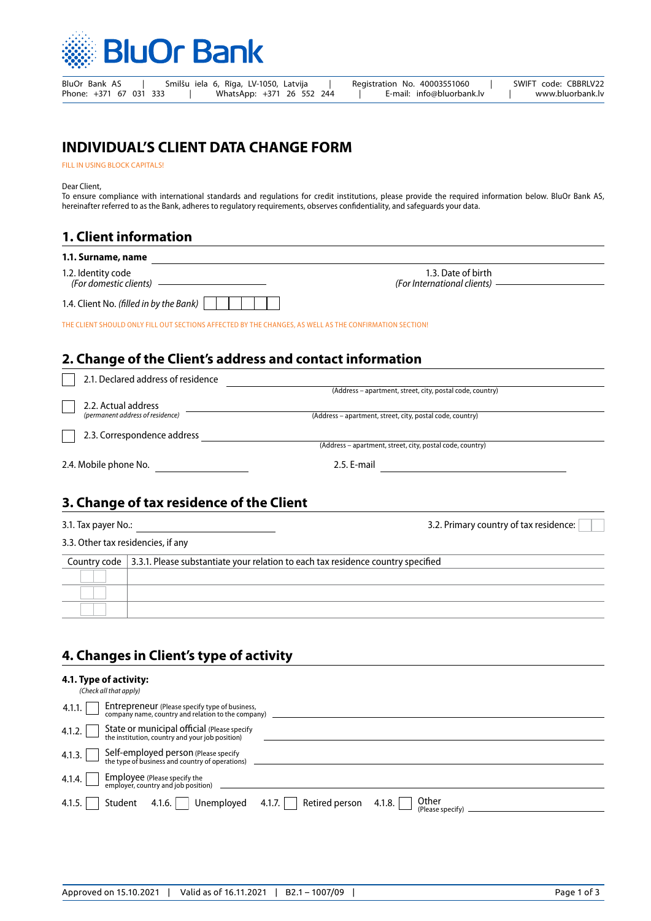

# **INDIVIDUAL'S CLIENT DATA CHANGE FORM**

FILL IN USING BLOCK CAPITALS!

Dear Client,

To ensure compliance with international standards and regulations for credit institutions, please provide the required information below. BluOr Bank AS, hereinafter referred to as the Bank, adheres to regulatory requirements, observes confidentiality, and safeguards your data.

## **1. Client information**

| 1.1. Surname, name |  |
|--------------------|--|
|                    |  |

1.2. Identity code *(For domestic clients)*

1.4. Client No. *(filled in by the Bank)*

1.3. Date of birth *(For International clients)*

THE CLIENT SHOULD ONLY FILL OUT SECTIONS AFFECTED BY THE CHANGES, AS WELL AS THE CONFIRMATION SECTION!

## **2. Change of the Client's address and contact information**

| 2.1. Declared address of residence |                                                           |
|------------------------------------|-----------------------------------------------------------|
|                                    | (Address – apartment, street, city, postal code, country) |
| 2.2. Actual address                |                                                           |
| (permanent address of residence)   | (Address – apartment, street, city, postal code, country) |
| 2.3. Correspondence address        |                                                           |
|                                    | (Address – apartment, street, city, postal code, country) |
| 2.4. Mobile phone No.              | 2.5. E-mail                                               |

## **3. Change of tax residence of the Сlient**

3.1. Tax payer No.: 3.2. Primary country of tax residence:

3.3. Other tax residencies, if any

| Country code $\vert$ 3.3.1. Please substantiate your relation to each tax residence country specified |
|-------------------------------------------------------------------------------------------------------|
|                                                                                                       |
|                                                                                                       |
|                                                                                                       |
|                                                                                                       |

# **4. Changes in Client's type of activity**

#### **4.1. Type of activity:**

|        | (Check all that apply)                                                                                      |
|--------|-------------------------------------------------------------------------------------------------------------|
| 4.1.1. | <b>Entrepreneur</b> (Please specify type of business,<br>company name, country and relation to the company) |
|        | 4.1.2. State or municipal official (Please specify the institution, country and your job position)          |
|        | 4.1.3. Self-employed person (Please specify<br>the type of business and country of operations)              |
|        | 4.1.4. $\Box$ Employee (Please specify the employer, country and job position)                              |
| 4.1.5. | Student 4.1.6.   Unemployed 4.1.7.   Retired person 4.1.8.    <br>  Other<br>(Please specify)               |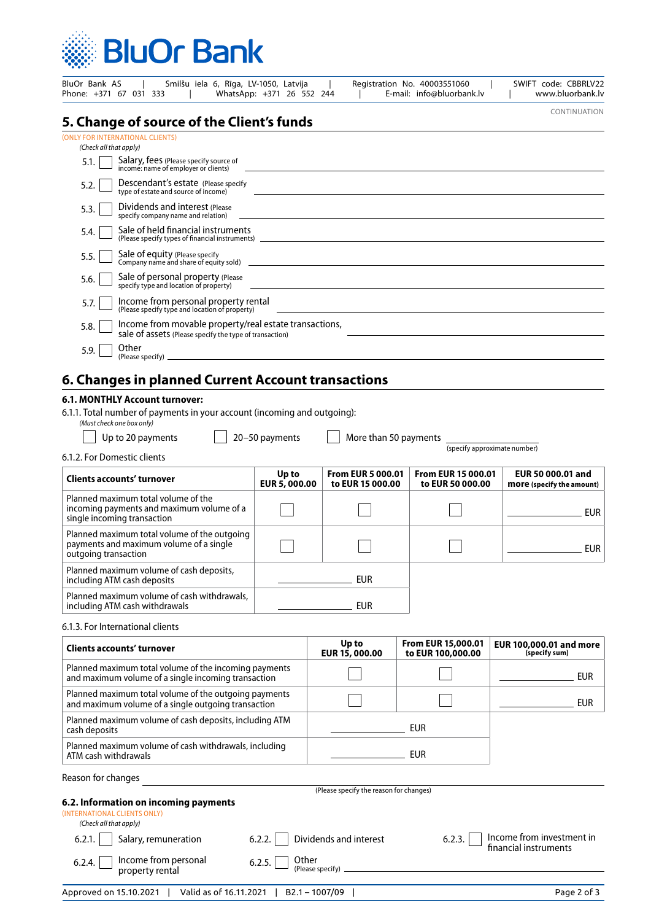

| BluOr Bank AS<br>Smilšu iela 6, Rīga, LV-1050, Latvija<br>Phone: +371 67 031 333                                                                                                                                                                                             | WhatsApp: +371 26 552 244 |                                                                                                                                                                                                                                      | Registration No. 40003551060<br>E-mail: info@bluorbank.lv | SWIFT code: CBBRLV22<br>www.bluorbank.lv                     |  |  |  |
|------------------------------------------------------------------------------------------------------------------------------------------------------------------------------------------------------------------------------------------------------------------------------|---------------------------|--------------------------------------------------------------------------------------------------------------------------------------------------------------------------------------------------------------------------------------|-----------------------------------------------------------|--------------------------------------------------------------|--|--|--|
| 5. Change of source of the Client's funds                                                                                                                                                                                                                                    |                           |                                                                                                                                                                                                                                      |                                                           | CONTINUATION                                                 |  |  |  |
| (ONLY FOR INTERNATIONAL CLIENTS)<br>(Check all that apply)                                                                                                                                                                                                                   |                           |                                                                                                                                                                                                                                      |                                                           |                                                              |  |  |  |
| Salary, fees (Please specify source of<br>income: name of employer or clients)<br>5.1.                                                                                                                                                                                       |                           |                                                                                                                                                                                                                                      |                                                           |                                                              |  |  |  |
| Descendant's estate (Please specify)<br>5.2.<br>type of estate and source of income)                                                                                                                                                                                         |                           |                                                                                                                                                                                                                                      |                                                           |                                                              |  |  |  |
| Dividends and interest (Please<br>5.3.<br>specify company name and relation)                                                                                                                                                                                                 |                           |                                                                                                                                                                                                                                      |                                                           |                                                              |  |  |  |
| Sale of held financial instruments<br>5.4.<br>(Please specify types of financial instruments) [2012] [2012] [2012] [2012] [2012] [2012] [2012] [2012] [2012] [2012] [2012] [2012] [2012] [2012] [2012] [2012] [2012] [2012] [2012] [2012] [2012] [2012] [2012] [2012] [2012] |                           |                                                                                                                                                                                                                                      |                                                           |                                                              |  |  |  |
| Sale of equity (Please specify<br>5.5.                                                                                                                                                                                                                                       |                           |                                                                                                                                                                                                                                      |                                                           |                                                              |  |  |  |
| Company name and share of equity sold) 2008 2008 2010 2021 2022 2023 2024 2022 2023 2024 2022 2023 2024 2022 20<br>Sale of personal property (Please<br>5.6.                                                                                                                 |                           |                                                                                                                                                                                                                                      |                                                           |                                                              |  |  |  |
| specify type and location of property)<br>Income from personal property rental<br>5.7.                                                                                                                                                                                       |                           |                                                                                                                                                                                                                                      |                                                           |                                                              |  |  |  |
| (Please specify type and location of property)<br>Income from movable property/real estate transactions,<br>5.8.                                                                                                                                                             |                           |                                                                                                                                                                                                                                      |                                                           |                                                              |  |  |  |
| sale of assets (Please specify the type of transaction)<br>Other                                                                                                                                                                                                             |                           |                                                                                                                                                                                                                                      |                                                           |                                                              |  |  |  |
| 5.9.<br>(Please specify) _                                                                                                                                                                                                                                                   |                           | <u> 1980 - Jan Salaman, mangang mga kalendar ng mga kalendar ng mga kalendar ng mga kalendar ng mga kalendar ng mga kalendar ng mga kalendar ng mga kalendar.  Na mga kalendar ng mga kalendar ng mga kalendar ng mga kalendar n</u> |                                                           |                                                              |  |  |  |
| 6. Changes in planned Current Account transactions                                                                                                                                                                                                                           |                           |                                                                                                                                                                                                                                      |                                                           |                                                              |  |  |  |
| 6.1. MONTHLY Account turnover:<br>6.1.1. Total number of payments in your account (incoming and outgoing):<br>(Must check one box only)                                                                                                                                      |                           |                                                                                                                                                                                                                                      |                                                           |                                                              |  |  |  |
| Up to 20 payments                                                                                                                                                                                                                                                            | 20-50 payments            |                                                                                                                                                                                                                                      | More than 50 payments                                     |                                                              |  |  |  |
| 6.1.2. For Domestic clients                                                                                                                                                                                                                                                  |                           |                                                                                                                                                                                                                                      |                                                           | (specify approximate number)                                 |  |  |  |
| Clients accounts' turnover                                                                                                                                                                                                                                                   | Up to<br>EUR 5, 000.00    | <b>From EUR 5 000.01</b><br>to EUR 15 000.00                                                                                                                                                                                         | <b>From EUR 15 000.01</b><br>to EUR 50 000.00             | <b>EUR 50 000.01 and</b><br><b>more</b> (specify the amount) |  |  |  |
| Planned maximum total volume of the<br>incoming payments and maximum volume of a<br>single incoming transaction                                                                                                                                                              |                           |                                                                                                                                                                                                                                      |                                                           | <b>EUR</b>                                                   |  |  |  |
| Planned maximum total volume of the outgoing<br>payments and maximum volume of a single<br>outgoing transaction                                                                                                                                                              |                           |                                                                                                                                                                                                                                      |                                                           | <b>EUR</b>                                                   |  |  |  |
| Planned maximum volume of cash deposits,<br>including ATM cash deposits                                                                                                                                                                                                      |                           | <b>EUR</b>                                                                                                                                                                                                                           |                                                           |                                                              |  |  |  |
| Planned maximum volume of cash withdrawals,<br>including ATM cash withdrawals                                                                                                                                                                                                |                           | <b>EUR</b>                                                                                                                                                                                                                           |                                                           |                                                              |  |  |  |
| 6.1.3. For International clients                                                                                                                                                                                                                                             |                           |                                                                                                                                                                                                                                      |                                                           |                                                              |  |  |  |
| <b>Clients accounts' turnover</b>                                                                                                                                                                                                                                            |                           | Up to<br>EUR 15, 000.00                                                                                                                                                                                                              | From EUR 15,000.01<br>to EUR 100,000.00                   | EUR 100,000.01 and more<br>(specify sum)                     |  |  |  |
| Planned maximum total volume of the incoming payments<br>and maximum volume of a single incoming transaction                                                                                                                                                                 |                           |                                                                                                                                                                                                                                      |                                                           | <b>EUR</b>                                                   |  |  |  |
| Planned maximum total volume of the outgoing payments                                                                                                                                                                                                                        |                           |                                                                                                                                                                                                                                      |                                                           |                                                              |  |  |  |

| 6.2. Information on incoming payments |
|---------------------------------------|
| Reason for changes                    |
| ATM cash withdrawals                  |

and maximum volume of a single outgoing transaction Planned maximum volume of cash deposits, including ATM

Planned maximum volume of cash withdrawals, including

(Please specify the reason for changes)

| (INTERNATIONAL CLIENTS ONLY) |  |
|------------------------------|--|
| (Check all that apply)       |  |

|  | 6.2.1. Salary, remunera |
|--|-------------------------|
|  |                         |

cash deposits

| 6.2.4. $\Box$ Income from personal property rental | 6.2.5. Other |
|----------------------------------------------------|--------------|

(Please specify)

EUR

EUR

Salary, remuneration 6.2.2. Dividends and interest 6.2.3. Income from investment in financial instruments  $6.2.3.$ 

EUR